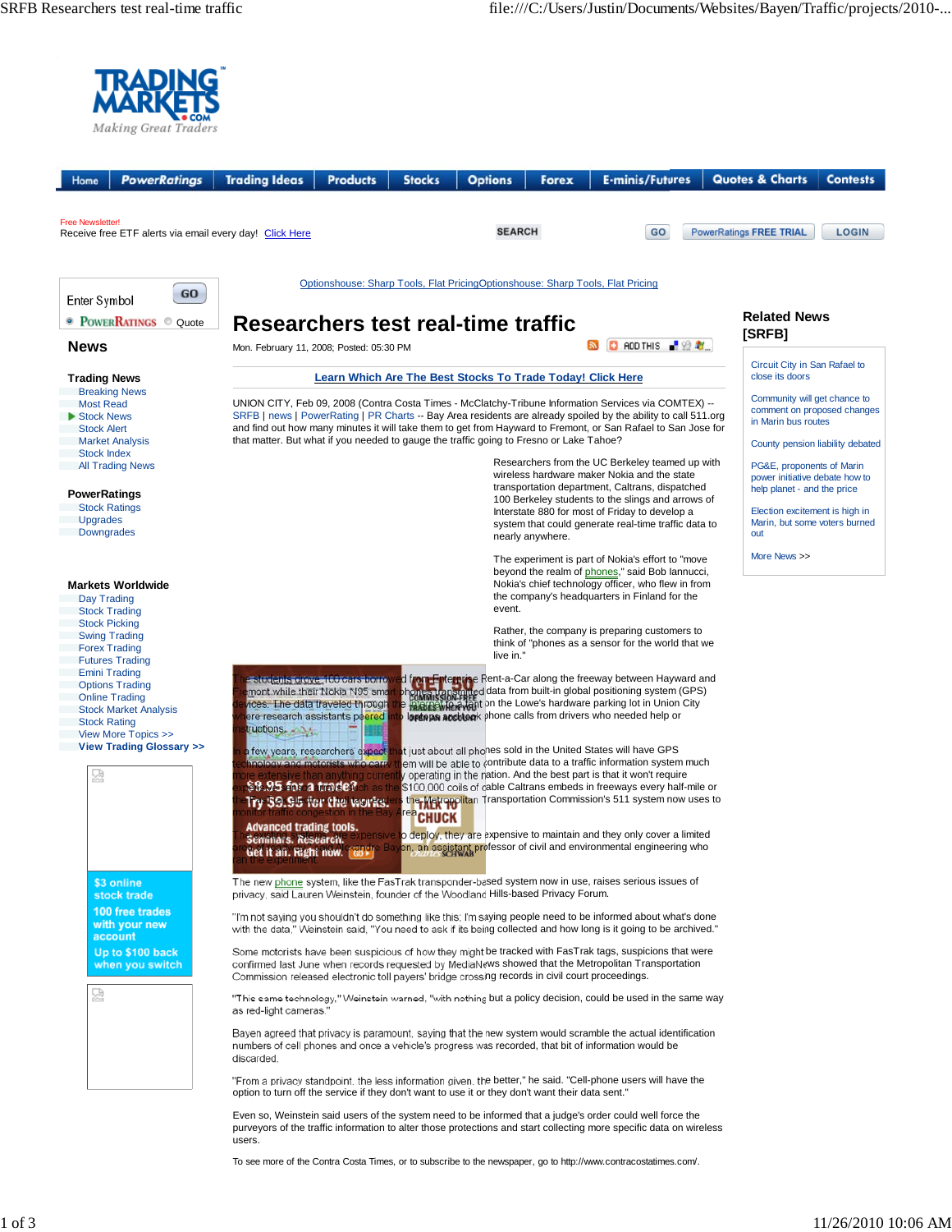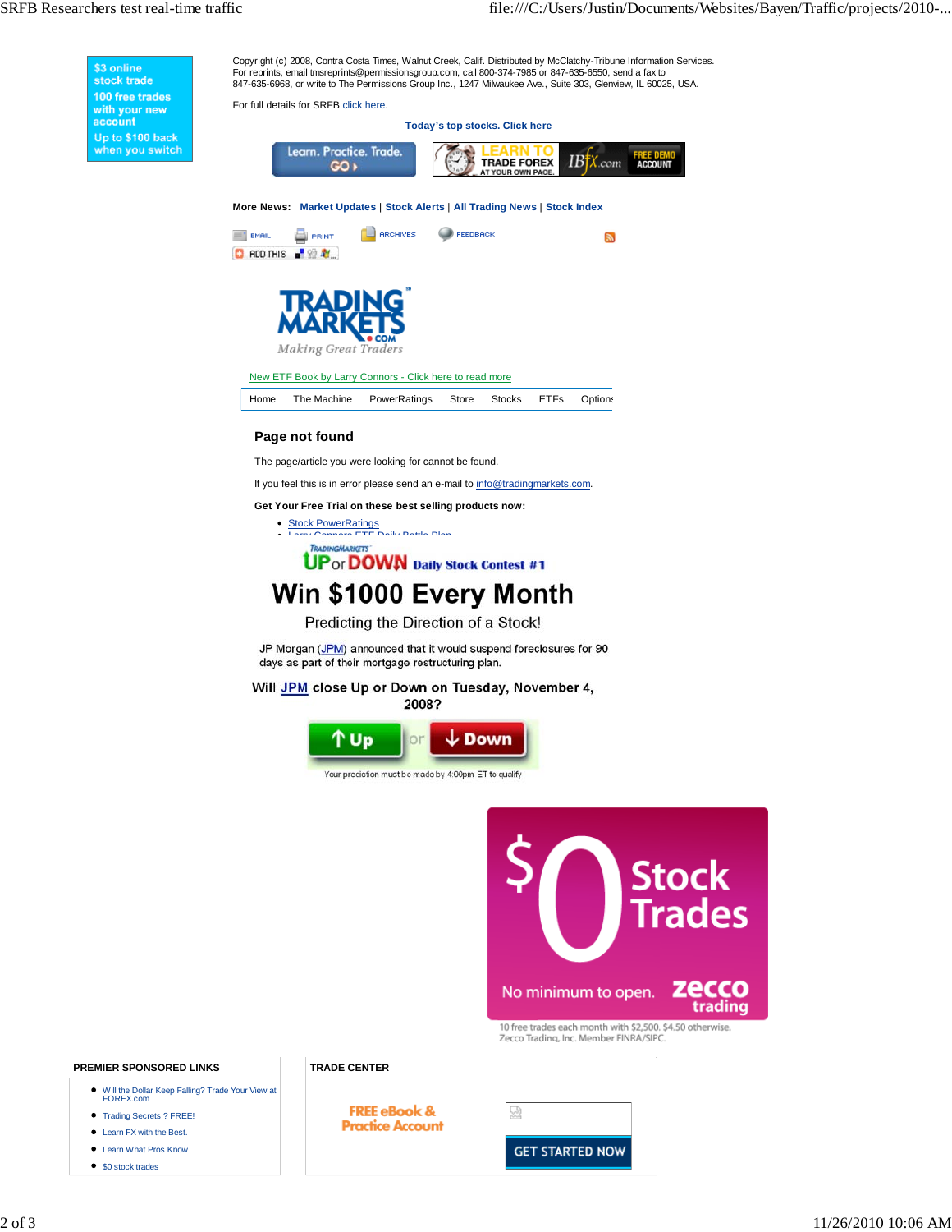Copyright (c) 2008, Contra Costa Times, Walnut Creek, Calif. Distributed by McClatchy-Tribune Information Services. \$3 online<br>stock trade For reprints, email tmsreprints@permissionsgroup.com, call 800-374-7985 or 847-635-6550, send a fax to 847-635-6968, or write to The Permissions Group Inc., 1247 Milwaukee Ave., Suite 303, Glenview, IL 60025, USA. 100 free trades For full details for SRFB click here. with your new<br>account **Today's top stocks. Click here** Up to \$100 back Learn. Practice. Trade. when you switch **ACCOUNT** TRADE FOREX  $IB\ddagger X$  com  $GO +$ **More News: Market Updates** | **Stock Alerts** | **All Trading News** | **Stock Index O** ARCHIVES **PEEDBACK B** PRINT  $=$  EMAIL  $\overline{\mathbf{a}}$ C RDD THIS PRIZE ig Great Traders New ETF Book by Larry Connors - Click here to read more Home The Machine PowerRatings Store Stocks ETFs Options **Page not found** The page/article you were looking for cannot be found. If you feel this is in error please send an e-mail to info@tradingmarkets.com. **Get Your Free Trial on these best selling products now:** Stock PowerRatings<br>Larry Connors ETF Daily Battle Plan **TRADINGMARKETS UP** or **DOWN** Daily Stock Contest #1 Win \$1000 Every Month Predicting the Direction of a Stock! JP Morgan (JPM) announced that it would suspend foreclosures for 90 days as part of their mortgage restructuring plan. Will JPM close Up or Down on Tuesday, November 4, 2008? ′ Up  $\downarrow$  Down or Your prediction must be made by 4:00pm ET to qualify **Stock Trades** No minimum to open.

> 10 free trades each month with \$2,500. \$4.50 otherwise. Zecco Trading, Inc. Member FINRA/SIPC.

ecco

trading

### **PREMIER SPONSORED LINKS**

- Will the Dollar Keep Falling? Trade Your View at FOREX.com
- Trading Secrets ? FREE!
- Learn FX with the Best.
- Learn What Pros Know
- \$0 stock trades

**FREE eBook & Practice Account**